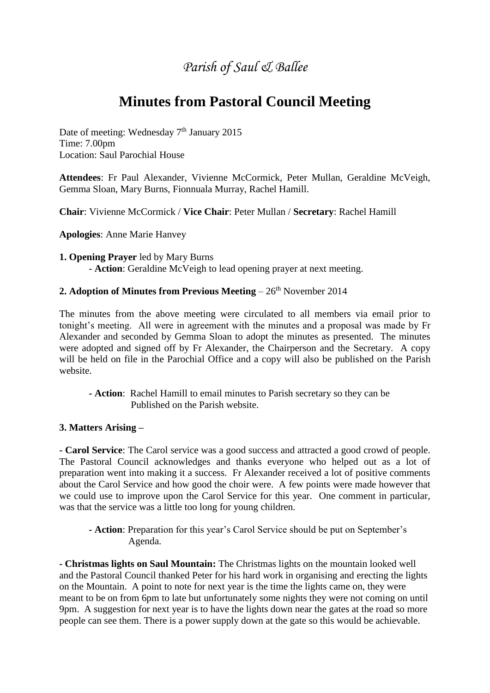## *Parish of Saul & Ballee*

# **Minutes from Pastoral Council Meeting**

Date of meeting: Wednesday  $7<sup>th</sup>$  January 2015 Time: 7.00pm Location: Saul Parochial House

**Attendees**: Fr Paul Alexander, Vivienne McCormick, Peter Mullan, Geraldine McVeigh, Gemma Sloan, Mary Burns, Fionnuala Murray, Rachel Hamill.

**Chair**: Vivienne McCormick / **Vice Chair**: Peter Mullan / **Secretary**: Rachel Hamill

**Apologies**: Anne Marie Hanvey

**1. Opening Prayer** led by Mary Burns - **Action**: Geraldine McVeigh to lead opening prayer at next meeting.

#### **2. Adoption of Minutes from Previous Meeting** – 26<sup>th</sup> November 2014

The minutes from the above meeting were circulated to all members via email prior to tonight's meeting. All were in agreement with the minutes and a proposal was made by Fr Alexander and seconded by Gemma Sloan to adopt the minutes as presented. The minutes were adopted and signed off by Fr Alexander, the Chairperson and the Secretary. A copy will be held on file in the Parochial Office and a copy will also be published on the Parish website.

**- Action**: Rachel Hamill to email minutes to Parish secretary so they can be Published on the Parish website.

### **3. Matters Arising –**

**- Carol Service**: The Carol service was a good success and attracted a good crowd of people. The Pastoral Council acknowledges and thanks everyone who helped out as a lot of preparation went into making it a success. Fr Alexander received a lot of positive comments about the Carol Service and how good the choir were. A few points were made however that we could use to improve upon the Carol Service for this year. One comment in particular, was that the service was a little too long for young children.

**- Action**: Preparation for this year's Carol Service should be put on September's Agenda.

**- Christmas lights on Saul Mountain:** The Christmas lights on the mountain looked well and the Pastoral Council thanked Peter for his hard work in organising and erecting the lights on the Mountain. A point to note for next year is the time the lights came on, they were meant to be on from 6pm to late but unfortunately some nights they were not coming on until 9pm. A suggestion for next year is to have the lights down near the gates at the road so more people can see them. There is a power supply down at the gate so this would be achievable.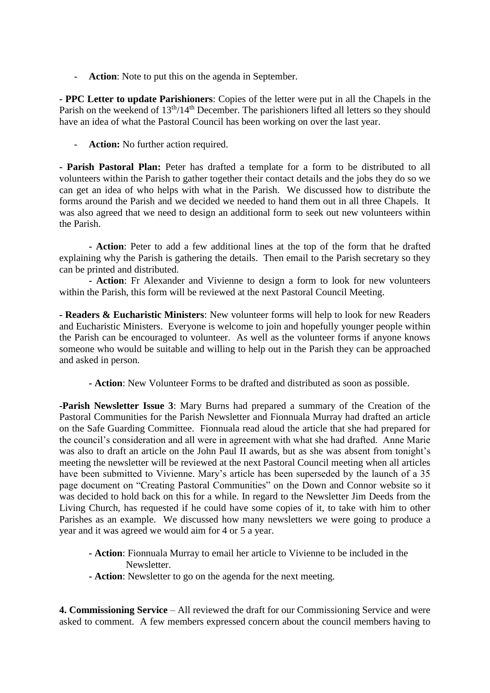- **Action**: Note to put this on the agenda in September.

**- PPC Letter to update Parishioners**: Copies of the letter were put in all the Chapels in the Parish on the weekend of 13<sup>th</sup>/14<sup>th</sup> December. The parishioners lifted all letters so they should have an idea of what the Pastoral Council has been working on over the last year.

Action: No further action required.

**- Parish Pastoral Plan:** Peter has drafted a template for a form to be distributed to all volunteers within the Parish to gather together their contact details and the jobs they do so we can get an idea of who helps with what in the Parish. We discussed how to distribute the forms around the Parish and we decided we needed to hand them out in all three Chapels. It was also agreed that we need to design an additional form to seek out new volunteers within the Parish.

**- Action**: Peter to add a few additional lines at the top of the form that he drafted explaining why the Parish is gathering the details. Then email to the Parish secretary so they can be printed and distributed.

**- Action**: Fr Alexander and Vivienne to design a form to look for new volunteers within the Parish, this form will be reviewed at the next Pastoral Council Meeting.

**- Readers & Eucharistic Ministers**: New volunteer forms will help to look for new Readers and Eucharistic Ministers. Everyone is welcome to join and hopefully younger people within the Parish can be encouraged to volunteer. As well as the volunteer forms if anyone knows someone who would be suitable and willing to help out in the Parish they can be approached and asked in person.

**- Action**: New Volunteer Forms to be drafted and distributed as soon as possible.

**-Parish Newsletter Issue 3**: Mary Burns had prepared a summary of the Creation of the Pastoral Communities for the Parish Newsletter and Fionnuala Murray had drafted an article on the Safe Guarding Committee. Fionnuala read aloud the article that she had prepared for the council's consideration and all were in agreement with what she had drafted. Anne Marie was also to draft an article on the John Paul II awards, but as she was absent from tonight's meeting the newsletter will be reviewed at the next Pastoral Council meeting when all articles have been submitted to Vivienne. Mary's article has been superseded by the launch of a 35 page document on "Creating Pastoral Communities" on the Down and Connor website so it was decided to hold back on this for a while. In regard to the Newsletter Jim Deeds from the Living Church, has requested if he could have some copies of it, to take with him to other Parishes as an example. We discussed how many newsletters we were going to produce a year and it was agreed we would aim for 4 or 5 a year.

- **- Action**: Fionnuala Murray to email her article to Vivienne to be included in the Newsletter.
- **- Action**: Newsletter to go on the agenda for the next meeting.

**4. Commissioning Service** – All reviewed the draft for our Commissioning Service and were asked to comment. A few members expressed concern about the council members having to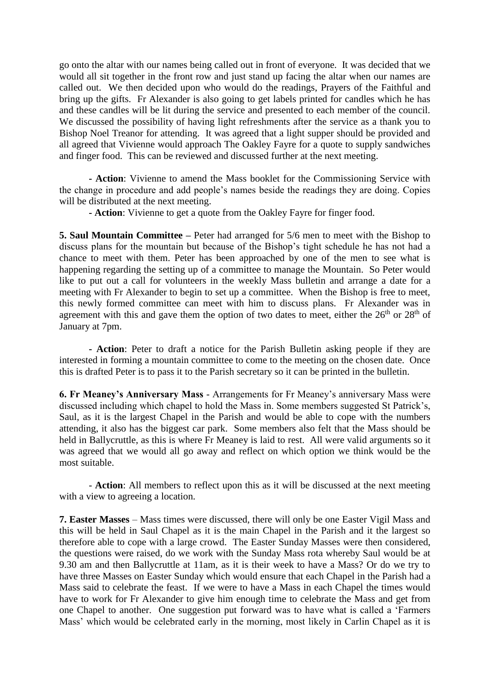go onto the altar with our names being called out in front of everyone. It was decided that we would all sit together in the front row and just stand up facing the altar when our names are called out. We then decided upon who would do the readings, Prayers of the Faithful and bring up the gifts. Fr Alexander is also going to get labels printed for candles which he has and these candles will be lit during the service and presented to each member of the council. We discussed the possibility of having light refreshments after the service as a thank you to Bishop Noel Treanor for attending. It was agreed that a light supper should be provided and all agreed that Vivienne would approach The Oakley Fayre for a quote to supply sandwiches and finger food. This can be reviewed and discussed further at the next meeting.

**- Action**: Vivienne to amend the Mass booklet for the Commissioning Service with the change in procedure and add people's names beside the readings they are doing. Copies will be distributed at the next meeting.

**- Action**: Vivienne to get a quote from the Oakley Fayre for finger food.

**5. Saul Mountain Committee –** Peter had arranged for 5/6 men to meet with the Bishop to discuss plans for the mountain but because of the Bishop's tight schedule he has not had a chance to meet with them. Peter has been approached by one of the men to see what is happening regarding the setting up of a committee to manage the Mountain. So Peter would like to put out a call for volunteers in the weekly Mass bulletin and arrange a date for a meeting with Fr Alexander to begin to set up a committee. When the Bishop is free to meet, this newly formed committee can meet with him to discuss plans. Fr Alexander was in agreement with this and gave them the option of two dates to meet, either the  $26<sup>th</sup>$  or  $28<sup>th</sup>$  of January at 7pm.

**- Action**: Peter to draft a notice for the Parish Bulletin asking people if they are interested in forming a mountain committee to come to the meeting on the chosen date. Once this is drafted Peter is to pass it to the Parish secretary so it can be printed in the bulletin.

**6. Fr Meaney's Anniversary Mass** - Arrangements for Fr Meaney's anniversary Mass were discussed including which chapel to hold the Mass in. Some members suggested St Patrick's, Saul, as it is the largest Chapel in the Parish and would be able to cope with the numbers attending, it also has the biggest car park. Some members also felt that the Mass should be held in Ballycruttle, as this is where Fr Meaney is laid to rest. All were valid arguments so it was agreed that we would all go away and reflect on which option we think would be the most suitable.

- **Action**: All members to reflect upon this as it will be discussed at the next meeting with a view to agreeing a location.

**7. Easter Masses** – Mass times were discussed, there will only be one Easter Vigil Mass and this will be held in Saul Chapel as it is the main Chapel in the Parish and it the largest so therefore able to cope with a large crowd. The Easter Sunday Masses were then considered, the questions were raised, do we work with the Sunday Mass rota whereby Saul would be at 9.30 am and then Ballycruttle at 11am, as it is their week to have a Mass? Or do we try to have three Masses on Easter Sunday which would ensure that each Chapel in the Parish had a Mass said to celebrate the feast. If we were to have a Mass in each Chapel the times would have to work for Fr Alexander to give him enough time to celebrate the Mass and get from one Chapel to another. One suggestion put forward was to have what is called a 'Farmers Mass' which would be celebrated early in the morning, most likely in Carlin Chapel as it is